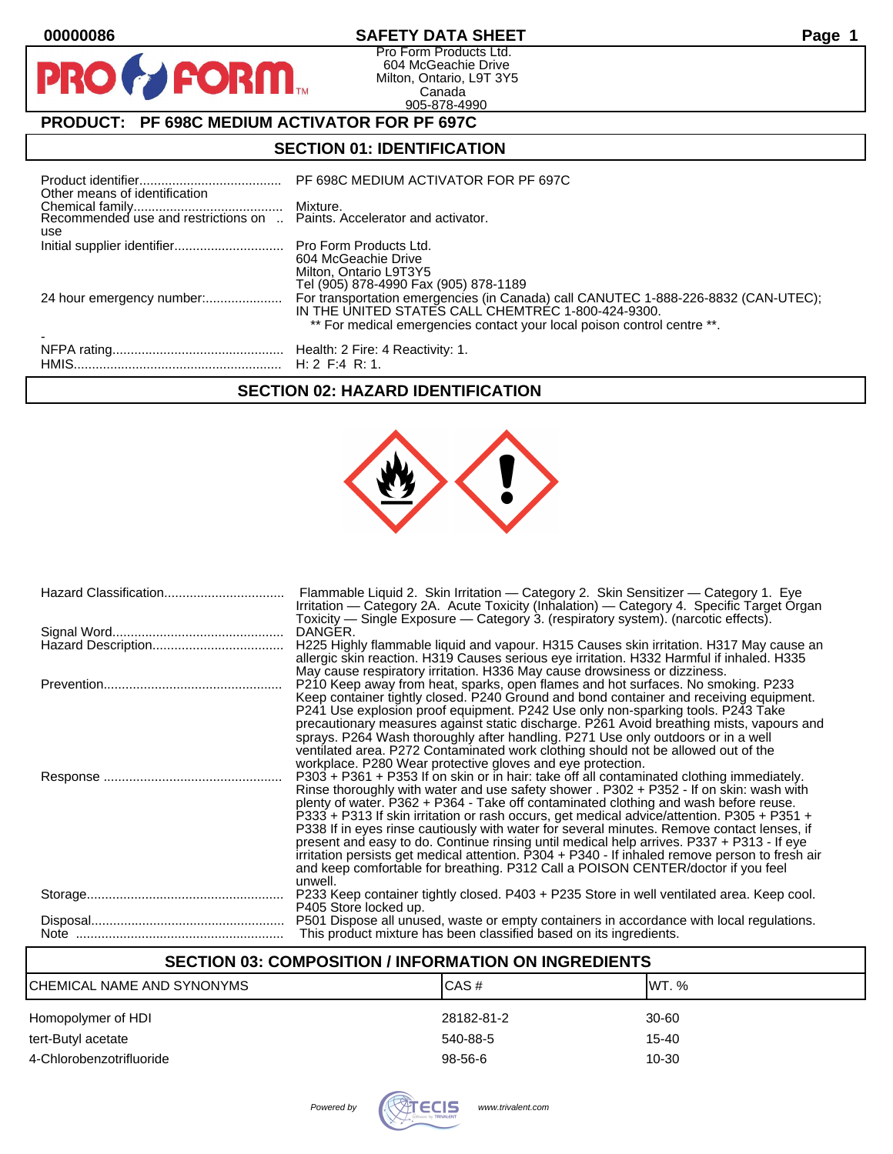$\mathbf O$ 

PR

# **00000086 SAFETY DATA SHEET Page 1**

Pro Form Products Ltd. 604 McGeachie Drive Milton, Ontario, L9T 3Y5 Canada 905-878-4990

# **PRODUCT: PF 698C MEDIUM ACTIVATOR FOR PF 697C**

**FORM** 

# **SECTION 01: IDENTIFICATION**

| Other means of identification | PF 698C MEDIUM ACTIVATOR FOR PF 697C                                                                                                                                                                                |
|-------------------------------|---------------------------------------------------------------------------------------------------------------------------------------------------------------------------------------------------------------------|
| use                           |                                                                                                                                                                                                                     |
|                               | 604 McGeachie Drive<br>Milton, Ontario L9T3Y5<br>Tel (905) 878-4990 Fax (905) 878-1189                                                                                                                              |
|                               | For transportation emergencies (in Canada) call CANUTEC 1-888-226-8832 (CAN-UTEC);<br>IN THE UNITED STATES CALL CHEMTREC 1-800-424-9300.<br>** For medical emergencies contact your local poison control centre **. |
|                               |                                                                                                                                                                                                                     |

## **SECTION 02: HAZARD IDENTIFICATION**



| Flammable Liquid 2. Skin Irritation - Category 2. Skin Sensitizer - Category 1. Eye<br>Irritation - Category 2A. Acute Toxicity (Inhalation) - Category 4. Specific Target Organ<br>Toxicity — Single Exposure — Category 3. (respiratory system). (narcotic effects).                                                                                                                                                                                                                                                                                                                                                                                                                                                                                                   |
|--------------------------------------------------------------------------------------------------------------------------------------------------------------------------------------------------------------------------------------------------------------------------------------------------------------------------------------------------------------------------------------------------------------------------------------------------------------------------------------------------------------------------------------------------------------------------------------------------------------------------------------------------------------------------------------------------------------------------------------------------------------------------|
| DANGER.                                                                                                                                                                                                                                                                                                                                                                                                                                                                                                                                                                                                                                                                                                                                                                  |
| H225 Highly flammable liquid and vapour. H315 Causes skin irritation. H317 May cause an<br>allergic skin reaction. H319 Causes serious eye irritation. H332 Harmful if inhaled. H335<br>May cause respiratory irritation. H336 May cause drowsiness or dizziness.                                                                                                                                                                                                                                                                                                                                                                                                                                                                                                        |
| P210 Keep away from heat, sparks, open flames and hot surfaces. No smoking. P233<br>Keep container tightly closed. P240 Ground and bond container and receiving equipment.<br>P241 Use explosion proof equipment. P242 Use only non-sparking tools. P243 Take<br>precautionary measures against static discharge. P261 Avoid breathing mists, vapours and<br>sprays. P264 Wash thoroughly after handling. P271 Use only outdoors or in a well<br>ventilated area. P272 Contaminated work clothing should not be allowed out of the<br>workplace. P280 Wear protective gloves and eye protection.                                                                                                                                                                         |
| $P303 + P361 + P353$ If on skin or in hair: take off all contaminated clothing immediately.<br>Rinse thoroughly with water and use safety shower . P302 + P352 - If on skin: wash with<br>plenty of water. P362 + P364 - Take off contaminated clothing and wash before reuse.<br>P333 + P313 If skin irritation or rash occurs, get medical advice/attention. P305 + P351 +<br>P338 If in eyes rinse cautiously with water for several minutes. Remove contact lenses, if<br>present and easy to do. Continue rinsing until medical help arrives. P337 + P313 - If eye<br>irritation persists get medical attention. P304 + P340 - If inhaled remove person to fresh air<br>and keep comfortable for breathing. P312 Call a POISON CENTER/doctor if you feel<br>unwell. |
| P233 Keep container tightly closed. P403 + P235 Store in well ventilated area. Keep cool.<br>P405 Store locked up.                                                                                                                                                                                                                                                                                                                                                                                                                                                                                                                                                                                                                                                       |
| P501 Dispose all unused, waste or empty containers in accordance with local regulations.<br>This product mixture has been classified based on its ingredients.                                                                                                                                                                                                                                                                                                                                                                                                                                                                                                                                                                                                           |

# **SECTION 03: COMPOSITION / INFORMATION ON INGREDIENTS**

| CHEMICAL NAME AND SYNONYMS | CAS#          | IWT. % |
|----------------------------|---------------|--------|
| Homopolymer of HDI         | 28182-81-2    | 30-60  |
| tert-Butyl acetate         | 540-88-5      | 15-40  |
| 4-Chlorobenzotrifluoride   | $98 - 56 - 6$ | 10-30  |
|                            |               |        |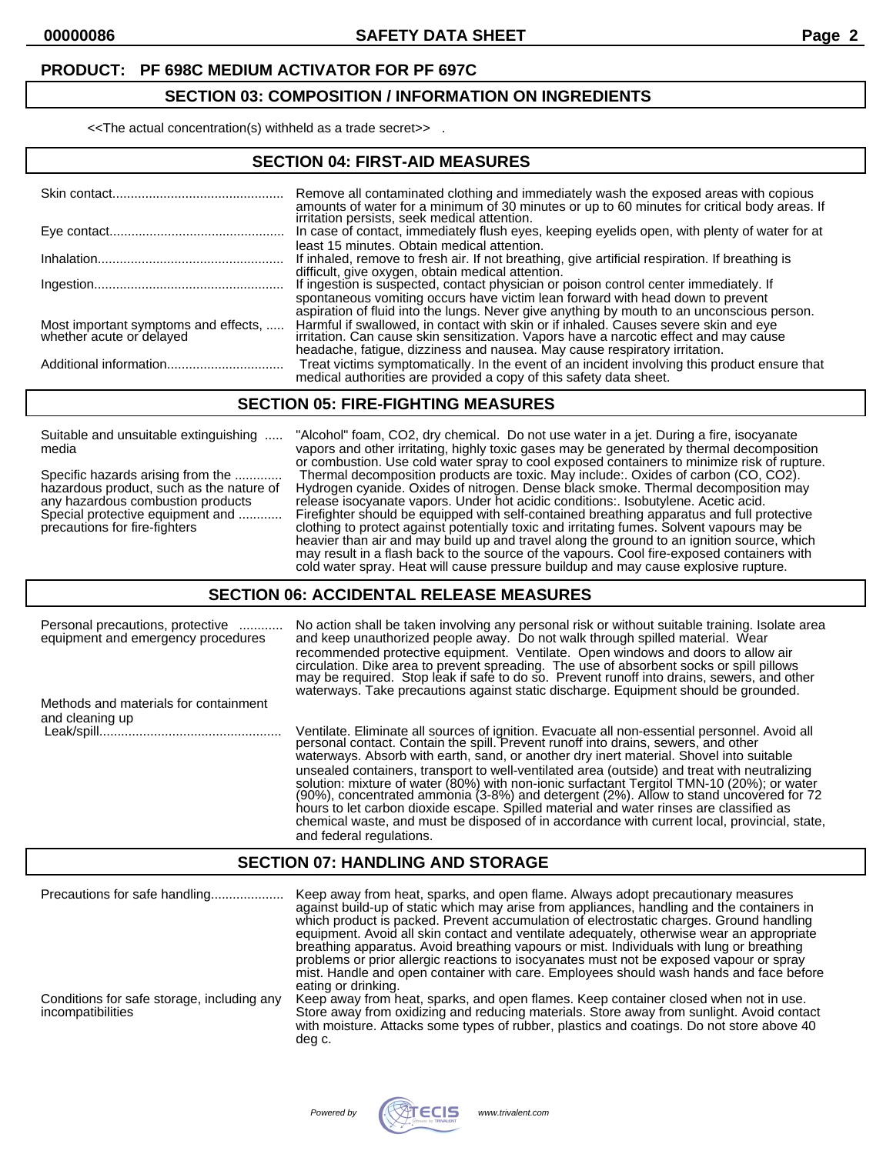#### **SECTION 03: COMPOSITION / INFORMATION ON INGREDIENTS**

<<The actual concentration(s) withheld as a trade secret>> .

#### **SECTION 04: FIRST-AID MEASURES**

|                                                                  | Remove all contaminated clothing and immediately wash the exposed areas with copious<br>amounts of water for a minimum of 30 minutes or up to 60 minutes for critical body areas. If                                                                                 |
|------------------------------------------------------------------|----------------------------------------------------------------------------------------------------------------------------------------------------------------------------------------------------------------------------------------------------------------------|
|                                                                  | irritation persists, seek medical attention.<br>In case of contact, immediately flush eyes, keeping eyelids open, with plenty of water for at<br>least 15 minutes. Obtain medical attention.                                                                         |
|                                                                  | If inhaled, remove to fresh air. If not breathing, give artificial respiration. If breathing is                                                                                                                                                                      |
|                                                                  | difficult, give oxygen, obtain medical attention.<br>If ingestion is suspected, contact physician or poison control center immediately. If                                                                                                                           |
|                                                                  | spontaneous vomiting occurs have victim lean forward with head down to prevent<br>aspiration of fluid into the lungs. Never give anything by mouth to an unconscious person.<br>Harmful if swallowed, in contact with skin or if inhaled. Causes severe skin and eye |
| Most important symptoms and effects,<br>whether acute or delayed | irritation. Can cause skin sensitization. Vapors have a narcotic effect and may cause<br>headache, fatigue, dizziness and nausea. May cause respiratory irritation.                                                                                                  |
|                                                                  | Treat victims symptomatically. In the event of an incident involving this product ensure that<br>medical authorities are provided a copy of this safety data sheet.                                                                                                  |

#### **SECTION 05: FIRE-FIGHTING MEASURES**

Suitable and unsuitable extinguishing ..... "Alcohol" foam, CO2, dry chemical. Do not use water in a jet. During a fire, isocyanate

media vapors and other irritating, highly toxic gases may be generated by thermal decomposition or combustion. Use cold water spray to cool exposed containers to minimize risk of rupture. Specific hazards arising from the ............. Thermal decomposition products are toxic. May include:. Oxides of carbon (CO, CO2). hazardous product, such as the nature of Hydrogen cyanide. Oxides of nitrogen. Dense black smoke. Thermal decomposition may any hazardous combustion products release isocyanate vapors. Under hot acidic conditions:. Isobutylene. Acetic acid. Special protective equipment and ............ Firefighter should be equipped with self-contained breathing apparatus and full protective precautions for fire-fighters clothing to protect against potentially toxic and irritating fumes. Solvent vapours may be heavier than air and may build up and travel along the ground to an ignition source, which may result in a flash back to the source of the vapours. Cool fire-exposed containers with cold water spray. Heat will cause pressure buildup and may cause explosive rupture.

#### **SECTION 06: ACCIDENTAL RELEASE MEASURES**

| Personal precautions, protective<br>equipment and emergency procedures | No action shall be taken involving any personal risk or without suitable training. Isolate area<br>and keep unauthorized people away. Do not walk through spilled material. Wear<br>recommended protective equipment. Ventilate. Open windows and doors to allow air<br>circulation. Dike area to prevent spreading. The use of absorbent socks or spill pillows may be required. Stop leak if safe to do so. Prevent runoff into drains, sewers, and other<br>waterways. Take precautions against static discharge. Equipment should be grounded.                                                                                                                                                                                                                                      |
|------------------------------------------------------------------------|-----------------------------------------------------------------------------------------------------------------------------------------------------------------------------------------------------------------------------------------------------------------------------------------------------------------------------------------------------------------------------------------------------------------------------------------------------------------------------------------------------------------------------------------------------------------------------------------------------------------------------------------------------------------------------------------------------------------------------------------------------------------------------------------|
| Methods and materials for containment<br>and cleaning up               |                                                                                                                                                                                                                                                                                                                                                                                                                                                                                                                                                                                                                                                                                                                                                                                         |
|                                                                        | Ventilate. Eliminate all sources of ignition. Evacuate all non-essential personnel. Avoid all personal contact. Contain the spill. Prevent runoff into drains, sewers, and other<br>waterways. Absorb with earth, sand, or another dry inert material. Shovel into suitable<br>unsealed containers, transport to well-ventilated area (outside) and treat with neutralizing<br>solution: mixture of water (80%) with non-ionic surfactant Tergitol TMN-10 (20%); or water (90%), concentrated ammonia (3-8%) and detergent (2%). Allow to stand uncovered for 72<br>hours to let carbon dioxide escape. Spilled material and water rinses are classified as<br>chemical waste, and must be disposed of in accordance with current local, provincial, state,<br>and federal regulations. |

#### **SECTION 07: HANDLING AND STORAGE**

| Precautions for safe handling                                   | Keep away from heat, sparks, and open flame. Always adopt precautionary measures<br>against build-up of static which may arise from appliances, handling and the containers in<br>which product is packed. Prevent accumulation of electrostatic charges. Ground handling<br>equipment. Avoid all skin contact and ventilate adequately, otherwise wear an appropriate<br>breathing apparatus. Avoid breathing vapours or mist. Individuals with lung or breathing<br>problems or prior allergic reactions to isocyanates must not be exposed vapour or spray<br>mist. Handle and open container with care. Employees should wash hands and face before<br>eating or drinking. |
|-----------------------------------------------------------------|--------------------------------------------------------------------------------------------------------------------------------------------------------------------------------------------------------------------------------------------------------------------------------------------------------------------------------------------------------------------------------------------------------------------------------------------------------------------------------------------------------------------------------------------------------------------------------------------------------------------------------------------------------------------------------|
| Conditions for safe storage, including any<br>incompatibilities | Keep away from heat, sparks, and open flames. Keep container closed when not in use.<br>Store away from oxidizing and reducing materials. Store away from sunlight. Avoid contact<br>with moisture. Attacks some types of rubber, plastics and coatings. Do not store above 40<br>deg c.                                                                                                                                                                                                                                                                                                                                                                                       |

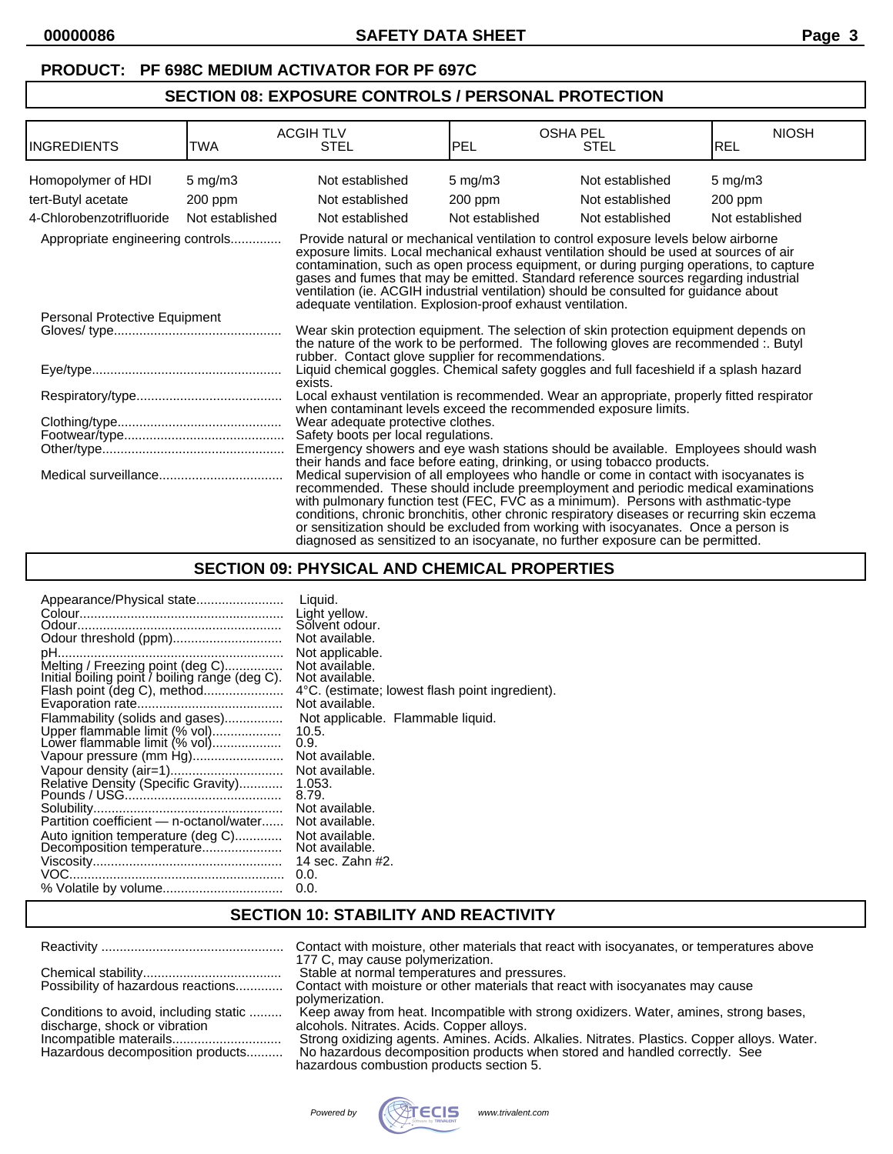## **SECTION 08: EXPOSURE CONTROLS / PERSONAL PROTECTION**

| INGREDIENTS                                                                                                                                                    | <b>TWA</b>      | <b>ACGIHTLV</b><br><b>STEL</b>                             | PEL             | <b>OSHA PEL</b><br><b>STEL</b>                                                                                                                                                                                                                                                                                                                                                                                                                                                                                                            | <b>NIOSH</b><br><b>REL</b> |
|----------------------------------------------------------------------------------------------------------------------------------------------------------------|-----------------|------------------------------------------------------------|-----------------|-------------------------------------------------------------------------------------------------------------------------------------------------------------------------------------------------------------------------------------------------------------------------------------------------------------------------------------------------------------------------------------------------------------------------------------------------------------------------------------------------------------------------------------------|----------------------------|
| Homopolymer of HDI                                                                                                                                             | $5$ mg/m $3$    | Not established                                            | $5$ mg/m $3$    | Not established                                                                                                                                                                                                                                                                                                                                                                                                                                                                                                                           | $5$ mg/m $3$               |
| tert-Butyl acetate                                                                                                                                             | $200$ ppm       | Not established                                            | $200$ ppm       | Not established                                                                                                                                                                                                                                                                                                                                                                                                                                                                                                                           | $200$ ppm                  |
| 4-Chlorobenzotrifluoride                                                                                                                                       | Not established | Not established                                            | Not established | Not established                                                                                                                                                                                                                                                                                                                                                                                                                                                                                                                           | Not established            |
| Appropriate engineering controls                                                                                                                               |                 | adequate ventilation. Explosion-proof exhaust ventilation. |                 | Provide natural or mechanical ventilation to control exposure levels below airborne<br>exposure limits. Local mechanical exhaust ventilation should be used at sources of air<br>contamination, such as open process equipment, or during purging operations, to capture<br>gases and fumes that may be emitted. Standard reference sources regarding industrial<br>ventilation (ie. ACGIH industrial ventilation) should be consulted for guidance about                                                                                 |                            |
| Personal Protective Equipment                                                                                                                                  |                 | rubber. Contact glove supplier for recommendations.        |                 | Wear skin protection equipment. The selection of skin protection equipment depends on<br>the nature of the work to be performed. The following gloves are recommended :. Butyl                                                                                                                                                                                                                                                                                                                                                            |                            |
|                                                                                                                                                                |                 | exists.                                                    |                 | Liquid chemical goggles. Chemical safety goggles and full faceshield if a splash hazard                                                                                                                                                                                                                                                                                                                                                                                                                                                   |                            |
|                                                                                                                                                                |                 |                                                            |                 | Local exhaust ventilation is recommended. Wear an appropriate, properly fitted respirator<br>when contaminant levels exceed the recommended exposure limits.                                                                                                                                                                                                                                                                                                                                                                              |                            |
|                                                                                                                                                                |                 | Wear adequate protective clothes.                          |                 |                                                                                                                                                                                                                                                                                                                                                                                                                                                                                                                                           |                            |
|                                                                                                                                                                |                 | Safety boots per local regulations.                        |                 |                                                                                                                                                                                                                                                                                                                                                                                                                                                                                                                                           |                            |
| Emergency showers and eye wash stations should be available. Employees should wash<br>their hands and face before eating, drinking, or using tobacco products. |                 |                                                            |                 |                                                                                                                                                                                                                                                                                                                                                                                                                                                                                                                                           |                            |
|                                                                                                                                                                |                 |                                                            |                 | Medical supervision of all employees who handle or come in contact with isocyanates is<br>recommended. These should include preemployment and periodic medical examinations<br>with pulmonary function test (FEC, FVC as a minimum). Persons with asthmatic-type<br>conditions, chronic bronchitis, other chronic respiratory diseases or recurring skin eczema<br>or sensitization should be excluded from working with isocyanates. Once a person is<br>diagnosed as sensitized to an isocyanate, no further exposure can be permitted. |                            |

# **SECTION 09: PHYSICAL AND CHEMICAL PROPERTIES**

| 1.053.<br>8.79.<br>Not available.<br>Not available.<br>Not available.<br>Not available.<br>14 sec. Zahn #2.<br>0.0.<br>0.0. | Appearance/Physical state<br>Odour threshold (ppm)<br>Melting / Freezing point (deg C)<br>Initial boiling point / boiling range (deg C).<br>Flash point (deg C), method<br>Flammability (solids and gases)<br>Upper flammable limit (% vol)<br>Lower flammable limit (% vol)<br>Vapour pressure (mm Hg)<br>Vapour density (air=1)<br>Relative Density (Specific Gravity)<br>Partition coefficient - n-octanol/water<br>Auto ignition temperature (deg C) | Liquid.<br>Light yellow.<br>Solvent odour.<br>Not available.<br>Not applicable.<br>Not available.<br>Not available.<br>4°C. (estimate; lowest flash point ingredient).<br>Not available.<br>Not applicable. Flammable liquid.<br>10.5.<br>0.9.<br>Not available.<br>Not available. |
|-----------------------------------------------------------------------------------------------------------------------------|----------------------------------------------------------------------------------------------------------------------------------------------------------------------------------------------------------------------------------------------------------------------------------------------------------------------------------------------------------------------------------------------------------------------------------------------------------|------------------------------------------------------------------------------------------------------------------------------------------------------------------------------------------------------------------------------------------------------------------------------------|
|-----------------------------------------------------------------------------------------------------------------------------|----------------------------------------------------------------------------------------------------------------------------------------------------------------------------------------------------------------------------------------------------------------------------------------------------------------------------------------------------------------------------------------------------------------------------------------------------------|------------------------------------------------------------------------------------------------------------------------------------------------------------------------------------------------------------------------------------------------------------------------------------|

## **SECTION 10: STABILITY AND REACTIVITY**

|                                                                                                                                      | Contact with moisture, other materials that react with isocyanates, or temperatures above<br>177 C, may cause polymerization.                                                                                                                                                                                                      |
|--------------------------------------------------------------------------------------------------------------------------------------|------------------------------------------------------------------------------------------------------------------------------------------------------------------------------------------------------------------------------------------------------------------------------------------------------------------------------------|
| Possibility of hazardous reactions                                                                                                   | Stable at normal temperatures and pressures.<br>Contact with moisture or other materials that react with isocyanates may cause                                                                                                                                                                                                     |
| Conditions to avoid, including static<br>discharge, shock or vibration<br>Incompatible materails<br>Hazardous decomposition products | polymerization.<br>Keep away from heat. Incompatible with strong oxidizers. Water, amines, strong bases,<br>alcohols. Nitrates. Acids. Copper alloys.<br>Strong oxidizing agents. Amines. Acids. Alkalies. Nitrates. Plastics. Copper alloys. Water.<br>No hazardous decomposition products when stored and handled correctly. See |
|                                                                                                                                      | hazardous combustion products section 5.                                                                                                                                                                                                                                                                                           |

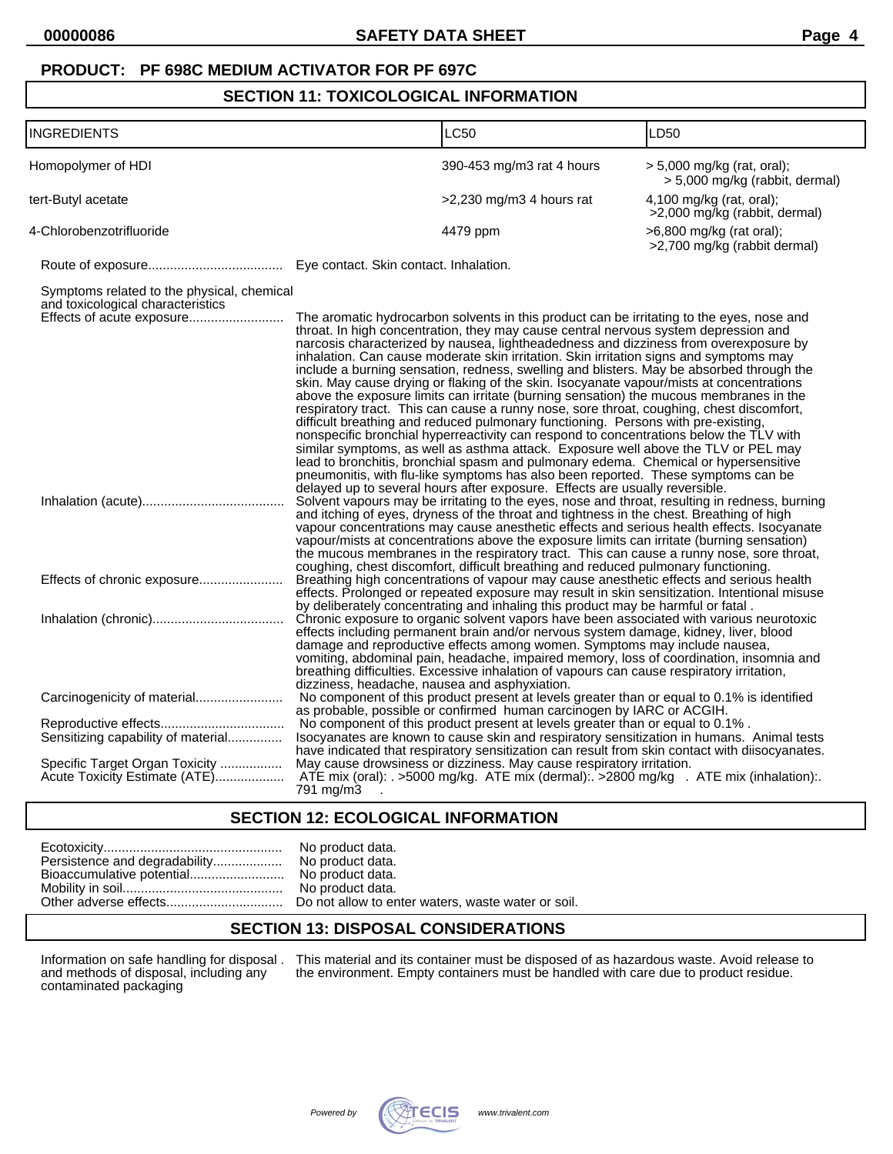### **SECTION 11: TOXICOLOGICAL INFORMATION**

| <b>INGREDIENTS</b>                                                                                           |                                               | LC50                                                                                                                                                                                                                                                                                                                                                                                                                                                                                                                                                                                                                                                                                                                                                                                                                                                                                                                                                                                                                                                                                                                                                                                                                                                                             | LD50                                                           |
|--------------------------------------------------------------------------------------------------------------|-----------------------------------------------|----------------------------------------------------------------------------------------------------------------------------------------------------------------------------------------------------------------------------------------------------------------------------------------------------------------------------------------------------------------------------------------------------------------------------------------------------------------------------------------------------------------------------------------------------------------------------------------------------------------------------------------------------------------------------------------------------------------------------------------------------------------------------------------------------------------------------------------------------------------------------------------------------------------------------------------------------------------------------------------------------------------------------------------------------------------------------------------------------------------------------------------------------------------------------------------------------------------------------------------------------------------------------------|----------------------------------------------------------------|
| Homopolymer of HDI                                                                                           |                                               | 390-453 mg/m3 rat 4 hours                                                                                                                                                                                                                                                                                                                                                                                                                                                                                                                                                                                                                                                                                                                                                                                                                                                                                                                                                                                                                                                                                                                                                                                                                                                        | $> 5,000$ mg/kg (rat, oral);<br>> 5,000 mg/kg (rabbit, dermal) |
| tert-Butyl acetate                                                                                           |                                               | $>2,230$ mg/m3 4 hours rat                                                                                                                                                                                                                                                                                                                                                                                                                                                                                                                                                                                                                                                                                                                                                                                                                                                                                                                                                                                                                                                                                                                                                                                                                                                       | 4,100 mg/kg (rat, oral);<br>>2,000 mg/kg (rabbit, dermal)      |
| 4-Chlorobenzotrifluoride                                                                                     |                                               | 4479 ppm                                                                                                                                                                                                                                                                                                                                                                                                                                                                                                                                                                                                                                                                                                                                                                                                                                                                                                                                                                                                                                                                                                                                                                                                                                                                         | >6,800 mg/kg (rat oral);<br>>2,700 mg/kg (rabbit dermal)       |
|                                                                                                              |                                               |                                                                                                                                                                                                                                                                                                                                                                                                                                                                                                                                                                                                                                                                                                                                                                                                                                                                                                                                                                                                                                                                                                                                                                                                                                                                                  |                                                                |
| Symptoms related to the physical, chemical<br>and toxicological characteristics<br>Effects of acute exposure |                                               | The aromatic hydrocarbon solvents in this product can be irritating to the eyes, nose and<br>throat. In high concentration, they may cause central nervous system depression and<br>narcosis characterized by nausea, lightheadedness and dizziness from overexposure by<br>inhalation. Can cause moderate skin irritation. Skin irritation signs and symptoms may<br>include a burning sensation, redness, swelling and blisters. May be absorbed through the<br>skin. May cause drying or flaking of the skin. Isocyanate vapour/mists at concentrations<br>above the exposure limits can irritate (burning sensation) the mucous membranes in the<br>respiratory tract. This can cause a runny nose, sore throat, coughing, chest discomfort,<br>difficult breathing and reduced pulmonary functioning. Persons with pre-existing,<br>nonspecific bronchial hyperreactivity can respond to concentrations below the TLV with<br>similar symptoms, as well as asthma attack. Exposure well above the TLV or PEL may<br>lead to bronchitis, bronchial spasm and pulmonary edema. Chemical or hypersensitive<br>pneumonitis, with flu-like symptoms has also been reported. These symptoms can be<br>delayed up to several hours after exposure. Effects are usually reversible. |                                                                |
|                                                                                                              |                                               | Solvent vapours may be irritating to the eyes, nose and throat, resulting in redness, burning<br>and itching of eyes, dryness of the throat and tightness in the chest. Breathing of high<br>vapour concentrations may cause anesthetic effects and serious health effects. Isocyanate<br>vapour/mists at concentrations above the exposure limits can irritate (burning sensation)<br>the mucous membranes in the respiratory tract. This can cause a runny nose, sore throat,<br>coughing, chest discomfort, difficult breathing and reduced pulmonary functioning.<br>Breathing high concentrations of vapour may cause anesthetic effects and serious health                                                                                                                                                                                                                                                                                                                                                                                                                                                                                                                                                                                                                 |                                                                |
|                                                                                                              | dizziness, headache, nausea and asphyxiation. | effects. Prolonged or repeated exposure may result in skin sensitization. Intentional misuse<br>by deliberately concentrating and inhaling this product may be harmful or fatal.<br>Chronic exposure to organic solvent vapors have been associated with various neurotoxic<br>effects including permanent brain and/or nervous system damage, kidney, liver, blood<br>damage and reproductive effects among women. Symptoms may include nausea,<br>vomiting, abdominal pain, headache, impaired memory, loss of coordination, insomnia and<br>breathing difficulties. Excessive inhalation of vapours can cause respiratory irritation,                                                                                                                                                                                                                                                                                                                                                                                                                                                                                                                                                                                                                                         |                                                                |
| Carcinogenicity of material<br>Sensitizing capability of material                                            |                                               | No component of this product present at levels greater than or equal to 0.1% is identified<br>as probable, possible or confirmed human carcinogen by IARC or ACGIH.<br>No component of this product present at levels greater than or equal to 0.1%.<br>Isocyanates are known to cause skin and respiratory sensitization in humans. Animal tests<br>have indicated that respiratory sensitization can result from skin contact with diisocyanates.                                                                                                                                                                                                                                                                                                                                                                                                                                                                                                                                                                                                                                                                                                                                                                                                                              |                                                                |
| Specific Target Organ Toxicity<br>Acute Toxicity Estimate (ATE)                                              | 791 mg/m3                                     | May cause drowsiness or dizziness. May cause respiratory irritation.<br>ATE mix (oral): . >5000 mg/kg. ATE mix (dermal): >2800 mg/kg . ATE mix (inhalation):                                                                                                                                                                                                                                                                                                                                                                                                                                                                                                                                                                                                                                                                                                                                                                                                                                                                                                                                                                                                                                                                                                                     |                                                                |

### **SECTION 12: ECOLOGICAL INFORMATION**

## **SECTION 13: DISPOSAL CONSIDERATIONS**

and methods of disposal, including any<br>contaminated packaging

Information on safe handling for disposal . This material and its container must be disposed of as hazardous waste. Avoid release to the environment. Empty containers must be handled with care due to product residue.